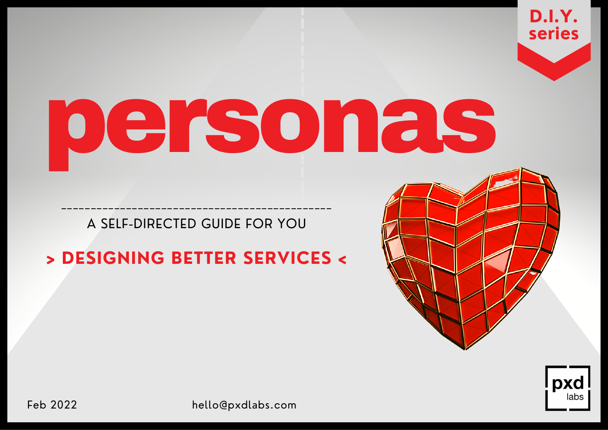## personas

A SELF-DIRECTED GUIDE FOR YOU

## **> DESIGNING BETTER SERVICES <**





Feb 2022 hello@pxdlabs.com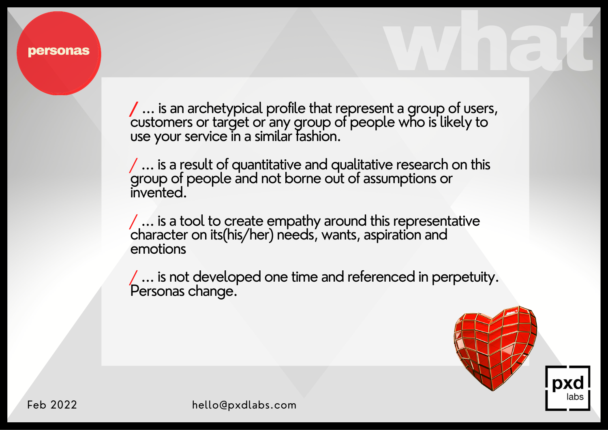## personas

**/** ... is an archetypical profile that represent a group of users, customers or target or any group of people who is likely to use your service in a similar fashion.

/ ... is a result of quantitative and qualitative research on this group of people and not borne out of assumptions or invented.

 $/$  ... is a tool to create empathy around this representative character on its(his/her) needs, wants, aspiration and emotions

/ ... is not developed one time and referenced in perpetuity. Personas change.



whet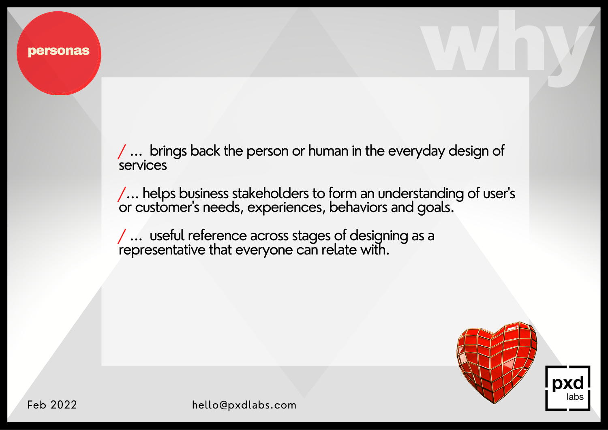/ ... brings back the person or human in the everyday design of **services** 

/... helps business stakeholders to form an understanding of user ' s or customer 's needs, experiences, behaviors and goals.

/ ... useful reference across stages of designing as a representative that everyone can relate with.



why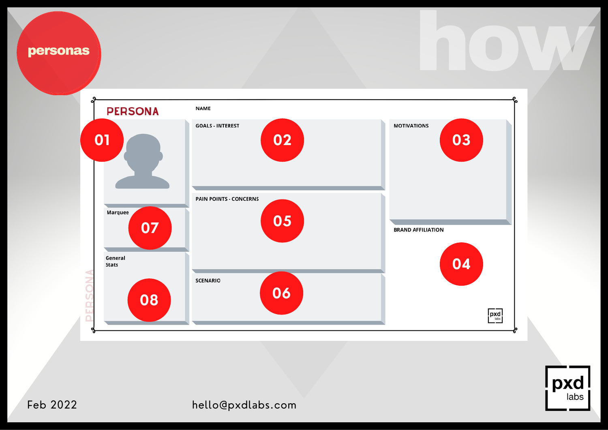

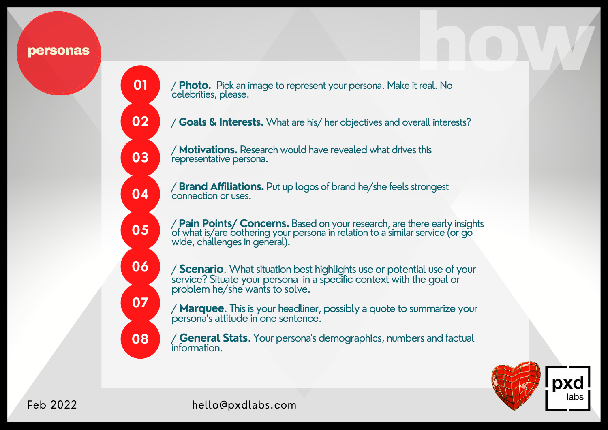## personas

**01**

**02**

**03**

**04**

**05**

**06**

**07**

**08**

how M / **Photo.** Pick an image to represent your persona. Make it real. No celebrities, please.

/ **Goals & Interests.** What are his/ her objectives and overall interests?

/ **Motivations.** Research would have revealed what drives this representative persona.

/ **Brand Affiliations.** Put up logos of brand he/she feels strongest connection or uses.

/ **Pain Points/ Concerns.** Based on your research, are there early insights of what is/are bothering your persona in relation to a similar service (or go wide, challenges in general).

/ **Scenario**. What situation best highlights use or potential use of your service? Situate your persona in a specific context with the goal or problem he/she wants to solve.

/ **Marquee**. This is your headliner, possibly a quote to summarize your persona's attitude in one sentence.

/ **General Stats**. Your persona's demographics, numbers and factual information.